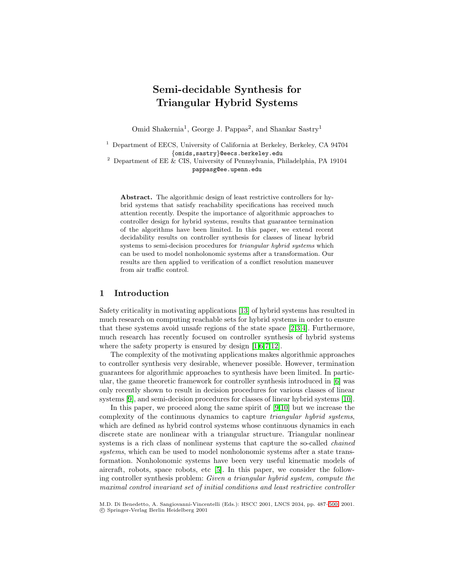# **Semi-decidable Synthesis for Triangular Hybrid Systems**

Omid Shakernia<sup>1</sup>, George J. Pappas<sup>2</sup>, and Shankar Sastry<sup>1</sup>

<sup>1</sup> Department of EECS, University of California at Berkeley, Berkeley, CA 94704 {omids,sastry}@eecs.berkeley.edu

 $^2$  Department of EE & CIS, University of Pennsylvania, Philadelphia, PA 19104 pappasg@ee.upenn.edu

**Abstract.** The algorithmic design of least restrictive controllers for hybrid systems that satisfy reachability specifications has received much attention recently. Despite the importance of algorithmic approaches to controller design for hybrid systems, results that guarantee termination of the algorithms have been limited. In this paper, we extend recent decidability results on controller synthesis for classes of linear hybrid systems to semi-decision procedures for triangular hybrid systems which can be used to model nonholonomic systems after a transformation. Our results are then applied to verification of a conflict resolution maneuver from air traffic control.

# **1 Introduction**

Safety criticality in motivating applications [\[13\]](#page-13-0) of hybrid systems has resulted in much research on computing reachable sets for hybrid systems in order to ensure that these systems avoid unsafe regions of the state space [\[2,3,4\]](#page-13-0). Furthermore, much research has recently focused on controller synthesis of hybrid systems where the safety property is ensured by design  $[1,6,7,12]$ .

The complexity of the motivating applications makes algorithmic approaches to controller synthesis very desirable, whenever possible. However, termination guarantees for algorithmic approaches to synthesis have been limited. In particular, the game theoretic framework for controller synthesis introduced in [\[6\]](#page-13-0) was only recently shown to result in decision procedures for various classes of linear systems [\[9\]](#page-13-0), and semi-decision procedures for classes of linear hybrid systems [\[10\]](#page-13-0).

In this paper, we proceed along the same spirit of [\[9,10\]](#page-13-0) but we increase the complexity of the continuous dynamics to capture triangular hybrid systems, which are defined as hybrid control systems whose continuous dynamics in each discrete state are nonlinear with a triangular structure. Triangular nonlinear systems is a rich class of nonlinear systems that capture the so-called chained systems, which can be used to model nonholonomic systems after a state transformation. Nonholonomic systems have been very useful kinematic models of aircraft, robots, space robots, etc [\[5\]](#page-13-0). In this paper, we consider the following controller synthesis problem: Given a triangular hybrid system, compute the maximal control invariant set of initial conditions and least restrictive controller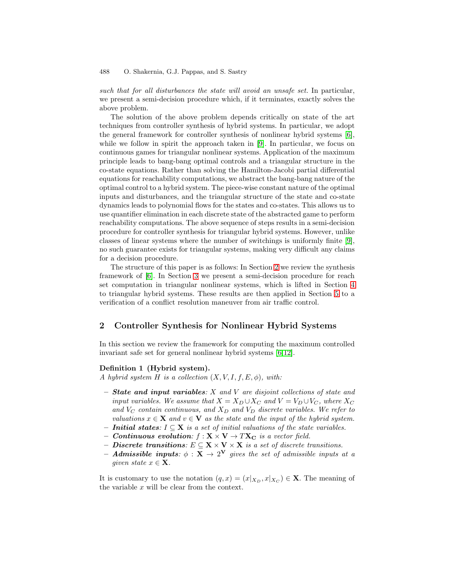such that for all disturbances the state will avoid an unsafe set. In particular, we present a semi-decision procedure which, if it terminates, exactly solves the above problem.

The solution of the above problem depends critically on state of the art techniques from controller synthesis of hybrid systems. In particular, we adopt the general framework for controller synthesis of nonlinear hybrid systems [\[6\]](#page-13-0), while we follow in spirit the approach taken in [\[9\]](#page-13-0). In particular, we focus on continuous games for triangular nonlinear systems. Application of the maximum principle leads to bang-bang optimal controls and a triangular structure in the co-state equations. Rather than solving the Hamilton-Jacobi partial differential equations for reachability computations, we abstract the bang-bang nature of the optimal control to a hybrid system. The piece-wise constant nature of the optimal inputs and disturbances, and the triangular structure of the state and co-state dynamics leads to polynomial flows for the states and co-states. This allows us to use quantifier elimination in each discrete state of the abstracted game to perform reachability computations. The above sequence of steps results in a semi-decision procedure for controller synthesis for triangular hybrid systems. However, unlike classes of linear systems where the number of switchings is uniformly finite [\[9\]](#page-13-0), no such guarantee exists for triangular systems, making very difficult any claims for a decision procedure.

The structure of this paper is as follows: In Section 2 we review the synthesis framework of [\[6\]](#page-13-0). In Section [3](#page-3-0) we present a semi-decision procedure for reach set computation in triangular nonlinear systems, which is lifted in Section [4](#page-9-0) to triangular hybrid systems. These results are then applied in Section [5](#page-10-0) to a verification of a conflict resolution maneuver from air traffic control.

# **2 Controller Synthesis for Nonlinear Hybrid Systems**

In this section we review the framework for computing the maximum controlled invariant safe set for general nonlinear hybrid systems [\[6,12\]](#page-13-0).

#### **Definition 1 (Hybrid system).**

A hybrid system H is a collection  $(X, V, I, f, E, \phi)$ , with:

- **–** *State and input variables*: X and V are disjoint collections of state and input variables. We assume that  $X = X_D \cup X_C$  and  $V = V_D \cup V_C$ , where  $X_C$ and  $V_C$  contain continuous, and  $X_D$  and  $V_D$  discrete variables. We refer to valuations  $x \in \mathbf{X}$  and  $v \in \mathbf{V}$  as the state and the input of the hybrid system.
- $$
- **–** *Continuous evolution:*  $f: \mathbf{X} \times \mathbf{V} \rightarrow T\mathbf{X_C}$  is a vector field.
- **–** *Discrete transitions*: E ⊆ **X** × **V** × **X** is a set of discrete transitions.
- **–** *Admissible inputs:*  $\phi$  : **X**  $\rightarrow$  2<sup>V</sup> gives the set of admissible inputs at a given state  $x \in \mathbf{X}$ .

It is customary to use the notation  $(q, x)=(x|_{X_D}, x|_{X_C}) \in \mathbf{X}$ . The meaning of the variable x will be clear from the context.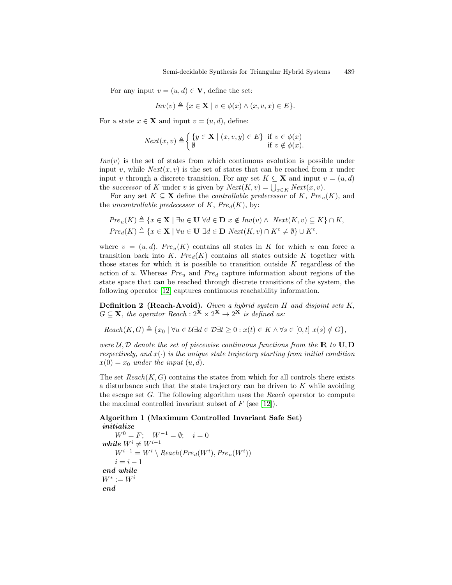<span id="page-2-0"></span>For any input  $v = (u, d) \in V$ , define the set:

$$
Inv(v) \triangleq \{x \in \mathbf{X} \mid v \in \phi(x) \land (x, v, x) \in E\}.
$$

For a state  $x \in \mathbf{X}$  and input  $v = (u, d)$ , define:

$$
Next(x, v) \triangleq \begin{cases} \{y \in \mathbf{X} \mid (x, v, y) \in E\} & \text{if } v \in \phi(x) \\ \emptyset & \text{if } v \notin \phi(x). \end{cases}
$$

 $Inv(v)$  is the set of states from which continuous evolution is possible under input v, while  $Next(x, v)$  is the set of states that can be reached from x under input v through a discrete transition. For any set  $K \subseteq \mathbf{X}$  and input  $v = (u, d)$ the successor of K under v is given by  $Next(K, v) = \bigcup_{x \in K} Next(x, v)$ .

For any set  $K \subseteq \mathbf{X}$  define the *controllable predecessor* of K,  $Pre_u(K)$ , and the uncontrollable predecessor of  $K$ ,  $Pre_d(K)$ , by:

$$
Pre_u(K) \triangleq \{x \in \mathbf{X} \mid \exists u \in \mathbf{U} \ \forall d \in \mathbf{D} \ x \notin Inv(v) \land Next(K, v) \subseteq K\} \cap K,
$$
  

$$
Pre_d(K) \triangleq \{x \in \mathbf{X} \mid \forall u \in \mathbf{U} \ \exists d \in \mathbf{D} \ Next(K, v) \cap K^c \neq \emptyset\} \cup K^c.
$$

where  $v = (u, d)$ . Pre<sub>u</sub> $(K)$  contains all states in K for which u can force a transition back into K.  $Pre_d(K)$  contains all states outside K together with those states for which it is possible to transition outside  $K$  regardless of the action of u. Whereas  $Pre_u$  and  $Pre_d$  capture information about regions of the state space that can be reached through discrete transitions of the system, the following operator [\[12\]](#page-13-0) captures continuous reachability information.

**Definition 2 (Reach-Avoid).** Given a hybrid system H and disjoint sets K,  $G \subseteq \mathbf{X}$ , the operator Reach :  $2^{\mathbf{X}} \times 2^{\mathbf{X}} \to 2^{\mathbf{X}}$  is defined as:

 $Reach(K, G) \triangleq \{x_0 \mid \forall u \in \mathcal{U} \exists d \in \mathcal{D} \exists t \geq 0 : x(t) \in K \land \forall s \in [0, t] \ x(s) \notin G\},\$ 

were  $U, D$  denote the set of piecewise continuous functions from the  $\mathbb{R}$  to  $\mathbf{U}, \mathbf{D}$ respectively, and  $x(\cdot)$  is the unique state trajectory starting from initial condition  $x(0) = x_0$  under the input  $(u, d)$ .

The set  $Reach(K, G)$  contains the states from which for all controls there exists a disturbance such that the state trajectory can be driven to K while avoiding the escape set  $G$ . The following algorithm uses the Reach operator to compute the maximal controlled invariant subset of  $F$  (see [\[12\]](#page-13-0)).

# **Algorithm 1 (Maximum Controlled Invariant Safe Set)** *initialize*

```
W^0 = F; \quad W^{-1} = \emptyset; \quad i = 0\textit{while} \ W^i \neq W^{i-1}W^{i-1} = W^i \setminus \text{Reach}(\text{Pre}_d(W^i), \text{Pre}_u(W^i))i = i - 1end while
W^* := W^iend
```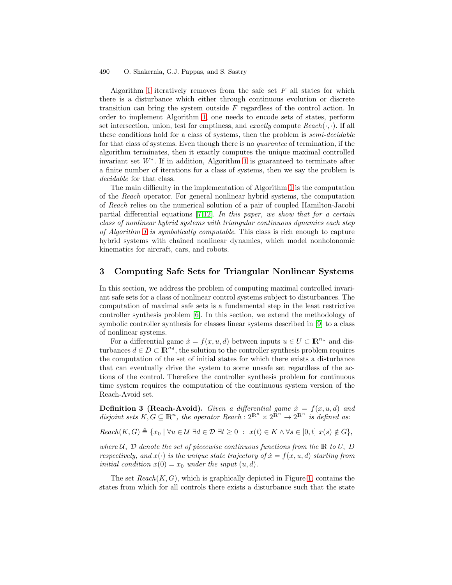<span id="page-3-0"></span>Algorithm [1](#page-2-0) iteratively removes from the safe set  $F$  all states for which there is a disturbance which either through continuous evolution or discrete transition can bring the system outside F regardless of the control action. In order to implement Algorithm [1,](#page-2-0) one needs to encode sets of states, perform set intersection, union, test for emptiness, and exactly compute  $Reach(\cdot, \cdot)$ . If all these conditions hold for a class of systems, then the problem is semi-decidable for that class of systems. Even though there is no guarantee of termination, if the algorithm terminates, then it exactly computes the unique maximal controlled invariant set W∗. If in addition, Algorithm [1](#page-2-0) is guaranteed to terminate after a finite number of iterations for a class of systems, then we say the problem is decidable for that class.

The main difficulty in the implementation of Algorithm [1](#page-2-0) is the computation of the Reach operator. For general nonlinear hybrid systems, the computation of Reach relies on the numerical solution of a pair of coupled Hamilton-Jacobi partial differential equations [\[7,12\]](#page-13-0). In this paper, we show that for a certain class of nonlinear hybrid systems with triangular continuous dynamics each step of Algorithm [1](#page-2-0) is symbolically computable. This class is rich enough to capture hybrid systems with chained nonlinear dynamics, which model nonholonomic kinematics for aircraft, cars, and robots.

### **3 Computing Safe Sets for Triangular Nonlinear Systems**

In this section, we address the problem of computing maximal controlled invariant safe sets for a class of nonlinear control systems subject to disturbances. The computation of maximal safe sets is a fundamental step in the least restrictive controller synthesis problem [\[6\]](#page-13-0). In this section, we extend the methodology of symbolic controller synthesis for classes linear systems described in [\[9\]](#page-13-0) to a class of nonlinear systems.

For a differential game  $\dot{x} = f(x, u, d)$  between inputs  $u \in U \subset \mathbb{R}^{n_u}$  and disturbances  $d \in D \subset \mathbb{R}^{n_d}$ , the solution to the controller synthesis problem requires the computation of the set of initial states for which there exists a disturbance that can eventually drive the system to some unsafe set regardless of the actions of the control. Therefore the controller synthesis problem for continuous time system requires the computation of the continuous system version of the Reach-Avoid set.

**Definition 3 (Reach-Avoid).** Given a differential game  $\dot{x} = f(x, u, d)$  and disjoint sets  $K, G \subseteq \mathbb{R}^n$ , the operator Reach :  $2^{\mathbb{R}^n} \times 2^{\mathbb{R}^n} \to 2^{\mathbb{R}^n}$  is defined as:

 $Reach(K, G) \triangleq \{x_0 \mid \forall u \in \mathcal{U} \ \exists d \in \mathcal{D} \ \exists t \geq 0 \ : \ x(t) \in K \land \forall s \in [0, t] \ x(s) \notin G\},\$ 

where U,  $\mathcal D$  denote the set of piecewise continuous functions from the R to U,  $D$ respectively, and  $x(\cdot)$  is the unique state trajectory of  $\dot{x} = f(x, u, d)$  starting from initial condition  $x(0) = x_0$  under the input  $(u, d)$ .

The set  $Reach(K, G)$ , which is graphically depicted in Figure [1,](#page-4-0) contains the states from which for all controls there exists a disturbance such that the state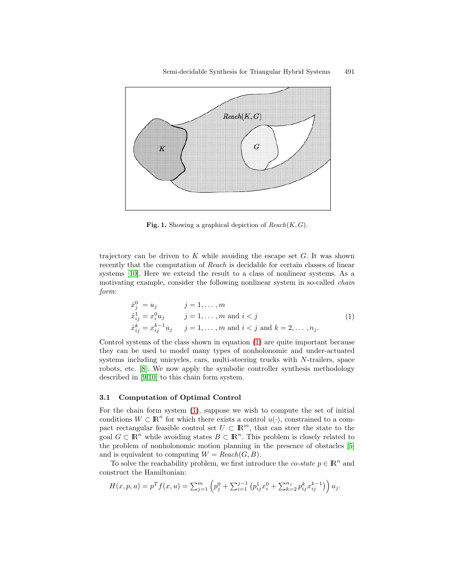<span id="page-4-0"></span>

**Fig. 1.** Showing a graphical depiction of  $Reach(K, G)$ .

trajectory can be driven to  $K$  while avoiding the escape set  $G$ . It was shown recently that the computation of Reach is decidable for certain classes of linear systems [\[10\]](#page-13-0). Here we extend the result to a class of nonlinear systems. As a motivating example, consider the following nonlinear system in so-called *chain* form:

$$
\dot{x}_j^0 = u_j \t j = 1, ..., m\n\dot{x}_{ij}^1 = x_i^0 u_j \t j = 1, ..., m \text{ and } i < j\n\dot{x}_{ij}^k = x_{ij}^{k-1} u_j \t j = 1, ..., m \text{ and } i < j \text{ and } k = 2, ..., n_j.
$$
\n(1)

Control systems of the class shown in equation (1) are quite important because they can be used to model many types of nonholonomic and under-actuated systems including unicycles, cars, multi-steering trucks with N-trailers, space robots, etc. [\[8\]](#page-13-0). We now apply the symbolic controller synthesis methodology described in [\[9,10\]](#page-13-0) to this chain form system.

#### **3.1 Computation of Optimal Control**

For the chain form system (1), suppose we wish to compute the set of initial conditions  $W \subset \mathbb{R}^n$  for which there exists a control  $u(\cdot)$ , constrained to a compact rectangular feasible control set  $U \subset \mathbb{R}^m$ , that can steer the state to the goal  $G \subset \mathbb{R}^n$  while avoiding states  $B \subset \mathbb{R}^n$ . This problem is closely related to the problem of nonholonomic motion planning in the presence of obstacles [\[5\]](#page-13-0) and is equivalent to computing  $W = Reach(G, B)$ .

To solve the reachability problem, we first introduce the *co-state*  $p \in \mathbb{R}^n$  and construct the Hamiltonian:

$$
H(x, p, u) = pT f(x, u) = \sum_{j=1}^{m} \left( p_j^0 + \sum_{i=1}^{j-1} \left( p_{ij}^1 x_i^0 + \sum_{k=2}^{n_j} p_{ij}^k x_{ij}^{k-1} \right) \right) u_j.
$$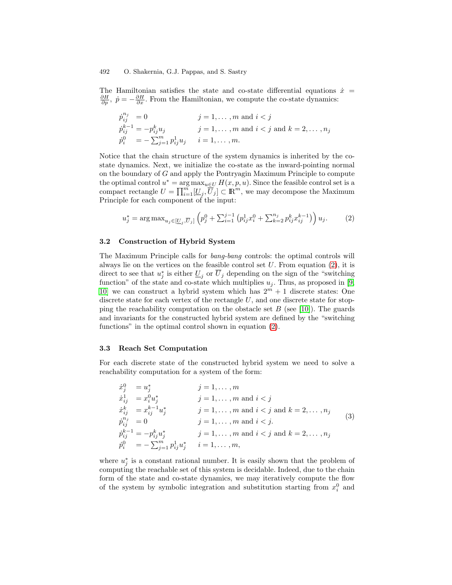<span id="page-5-0"></span>The Hamiltonian satisfies the state and co-state differential equations  $\dot{x}$  =  $\frac{\partial H}{\partial p}$ ,  $\dot{p} = -\frac{\partial H}{\partial x}$ . From the Hamiltonian, we compute the co-state dynamics:

$$
\dot{p}_{ij}^{n_j} = 0 \t j = 1, ..., m \text{ and } i < j
$$
  
\n
$$
\dot{p}_{ij}^{k-1} = -p_{ij}^k u_j \t j = 1, ..., m \text{ and } i < j \text{ and } k = 2, ..., n_j
$$
  
\n
$$
\dot{p}_i^0 = -\sum_{j=1}^m p_{ij}^1 u_j \t i = 1, ..., m.
$$

Notice that the chain structure of the system dynamics is inherited by the costate dynamics. Next, we initialize the co-state as the inward-pointing normal on the boundary of G and apply the Pontryagin Maximum Principle to compute the optimal control  $u^* = \arg \max_{u \in U} H(x, p, u)$ . Since the feasible control set is a compact rectangle  $U = \prod_{i=1}^{m} [\underline{U}_j, \overline{U}_j] \subset \mathbb{R}^m$ , we may decompose the Maximum Principle for each component of the input:

$$
u_j^* = \arg \max_{u_j \in [\underline{U}_j, \overline{U}_j]} \left( p_j^0 + \sum_{i=1}^{j-1} \left( p_{ij}^1 x_i^0 + \sum_{k=2}^{n_j} p_{ij}^k x_{ij}^{k-1} \right) \right) u_j. \tag{2}
$$

#### **3.2 Construction of Hybrid System**

The Maximum Principle calls for bang-bang controls: the optimal controls will always lie on the vertices on the feasible control set  $U$ . From equation (2), it is direct to see that  $u_j^*$  is either  $\underline{U}_j$  or  $\overline{U}_j$  depending on the sign of the "switching" function" of the state and co-state which multiplies  $u_i$ . Thus, as proposed in [\[9,](#page-13-0) [10\]](#page-13-0) we can construct a hybrid system which has  $2^m + 1$  discrete states: One discrete state for each vertex of the rectangle  $U$ , and one discrete state for stopping the reachability computation on the obstacle set  $B$  (see [\[10\]](#page-13-0)). The guards and invariants for the constructed hybrid system are defined by the "switching functions" in the optimal control shown in equation (2).

#### **3.3 Reach Set Computation**

For each discrete state of the constructed hybrid system we need to solve a reachability computation for a system of the form:

$$
\dot{x}_{j}^{0} = u_{j}^{*} \qquad j = 1, ..., m
$$
\n
$$
\dot{x}_{ij}^{1} = x_{i}^{0}u_{j}^{*} \qquad j = 1, ..., m \text{ and } i < j
$$
\n
$$
\dot{x}_{ij}^{k} = x_{ij}^{k-1}u_{j}^{*} \qquad j = 1, ..., m \text{ and } i < j \text{ and } k = 2, ..., n_{j}
$$
\n
$$
\dot{p}_{ij}^{n_{j}} = 0 \qquad j = 1, ..., m \text{ and } i < j.
$$
\n
$$
\dot{p}_{ij}^{k-1} = -p_{ij}^{k}u_{j}^{*} \qquad j = 1, ..., m \text{ and } i < j \text{ and } k = 2, ..., n_{j}
$$
\n
$$
\dot{p}_{i}^{0} = -\sum_{j=1}^{m} p_{ij}^{1}u_{j}^{*} \qquad i = 1, ..., m,
$$
\n(3)

where  $u_j^*$  is a constant rational number. It is easily shown that the problem of computing the reachable set of this system is decidable. Indeed, due to the chain form of the state and co-state dynamics, we may iteratively compute the flow of the system by symbolic integration and substitution starting from  $x_i^0$  and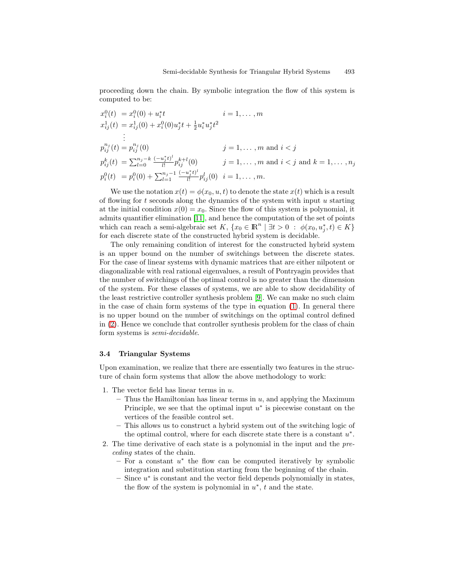proceeding down the chain. By symbolic integration the flow of this system is computed to be:

$$
x_i^0(t) = x_i^0(0) + u_i^*t \t i = 1, ..., m
$$
  
\n
$$
x_{ij}^1(t) = x_{ij}^1(0) + x_i^0(0)u_j^*t + \frac{1}{2}u_i^*u_j^*t^2
$$
  
\n
$$
\vdots
$$
  
\n
$$
p_{ij}^{n_j}(t) = p_{ij}^{n_j}(0) \t j = 1, ..., m \text{ and } i < j
$$
  
\n
$$
p_{ij}^k(t) = \sum_{l=0}^{n_j-k} \frac{(-u_j^*t)^l}{l!} p_{ij}^{k+l}(0) \t j = 1, ..., m \text{ and } i < j \text{ and } k = 1, ..., n_j
$$
  
\n
$$
p_i^0(t) = p_i^0(0) + \sum_{l=1}^{n_j-1} \frac{(-u_j^*t)^l}{l!} p_{ij}^l(0) \t i = 1, ..., m.
$$

We use the notation  $x(t) = \phi(x_0, u, t)$  to denote the state  $x(t)$  which is a result of flowing for t seconds along the dynamics of the system with input  $u$  starting at the initial condition  $x(0) = x_0$ . Since the flow of this system is polynomial, it admits quantifier elimination [\[11\]](#page-13-0), and hence the computation of the set of points which can reach a semi-algebraic set K,  $\{x_0 \in \mathbb{R}^n \mid \exists t > 0 : \phi(x_0, u_j^*, t) \in K\}$ for each discrete state of the constructed hybrid system is decidable.

The only remaining condition of interest for the constructed hybrid system is an upper bound on the number of switchings between the discrete states. For the case of linear systems with dynamic matrices that are either nilpotent or diagonalizable with real rational eigenvalues, a result of Pontryagin provides that the number of switchings of the optimal control is no greater than the dimension of the system. For these classes of systems, we are able to show decidability of the least restrictive controller synthesis problem [\[9\]](#page-13-0). We can make no such claim in the case of chain form systems of the type in equation [\(1\)](#page-4-0). In general there is no upper bound on the number of switchings on the optimal control defined in [\(2\)](#page-5-0). Hence we conclude that controller synthesis problem for the class of chain form systems is semi-decidable.

#### **3.4 Triangular Systems**

Upon examination, we realize that there are essentially two features in the structure of chain form systems that allow the above methodology to work:

- 1. The vector field has linear terms in  $u$ .
	- **–** Thus the Hamiltonian has linear terms in u, and applying the Maximum Principle, we see that the optimal input  $u^*$  is piecewise constant on the vertices of the feasible control set.
	- **–** This allows us to construct a hybrid system out of the switching logic of the optimal control, where for each discrete state there is a constant  $u^*$ .
- 2. The time derivative of each state is a polynomial in the input and the preceding states of the chain.
	- **–** For a constant u<sup>∗</sup> the flow can be computed iteratively by symbolic integration and substitution starting from the beginning of the chain.
	- **–** Since u<sup>∗</sup> is constant and the vector field depends polynomially in states, the flow of the system is polynomial in  $u^*$ , t and the state.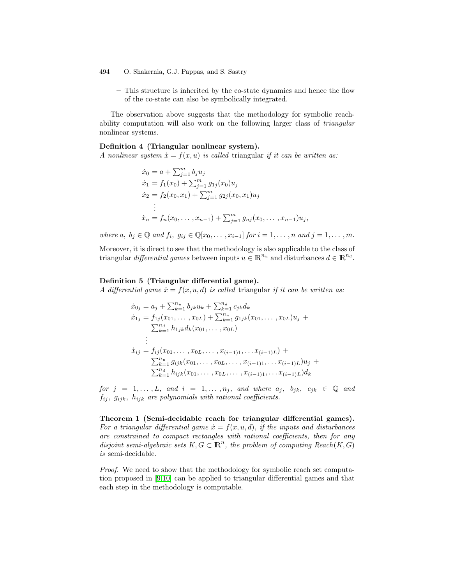**–** This structure is inherited by the co-state dynamics and hence the flow of the co-state can also be symbolically integrated.

The observation above suggests that the methodology for symbolic reachability computation will also work on the following larger class of triangular nonlinear systems.

#### **Definition 4 (Triangular nonlinear system).**

A nonlinear system  $\dot{x} = f(x, u)$  is called triangular if it can be written as:

$$
\begin{aligned}\n\dot{x}_0 &= a + \sum_{j=1}^m b_j u_j \\
\dot{x}_1 &= f_1(x_0) + \sum_{j=1}^m g_{1j}(x_0) u_j \\
\dot{x}_2 &= f_2(x_0, x_1) + \sum_{j=1}^m g_{2j}(x_0, x_1) u_j \\
&\vdots \\
\dot{x}_n &= f_n(x_0, \dots, x_{n-1}) + \sum_{j=1}^m g_{nj}(x_0, \dots, x_{n-1}) u_j,\n\end{aligned}
$$

where a,  $b_j \in \mathbb{Q}$  and  $f_i, g_{ij} \in \mathbb{Q}[x_0,\ldots,x_{i-1}]$  for  $i=1,\ldots,n$  and  $j=1,\ldots,m$ .

Moreover, it is direct to see that the methodology is also applicable to the class of triangular differential games between inputs  $u \in \mathbb{R}^{n_u}$  and disturbances  $d \in \mathbb{R}^{n_d}$ .

#### **Definition 5 (Triangular differential game).**

A differential game  $\dot{x} = f(x, u, d)$  is called triangular if it can be written as:

$$
\begin{aligned}\n\dot{x}_{0j} &= a_j + \sum_{k=1}^{n_u} b_{jk} u_k + \sum_{k=1}^{n_d} c_{jk} d_k \\
\dot{x}_{1j} &= f_{1j}(x_{01}, \dots, x_{0L}) + \sum_{k=1}^{n_u} g_{1jk}(x_{01}, \dots, x_{0L}) u_j + \\
&\sum_{k=1}^{n_d} h_{1jk} d_k(x_{01}, \dots, x_{0L}) \\
&\vdots \\
\dot{x}_{ij} &= f_{ij}(x_{01}, \dots, x_{0L}, \dots, x_{(i-1)1}, \dots x_{(i-1)L}) + \\
&\sum_{k=1}^{n_u} g_{ijk}(x_{01}, \dots, x_{0L}, \dots, x_{(i-1)1}, \dots x_{(i-1)L}) u_j + \\
&\sum_{k=1}^{n_d} h_{ijk}(x_{01}, \dots, x_{0L}, \dots, x_{(i-1)1}, \dots x_{(i-1)L}) d_k\n\end{aligned}
$$

for  $j = 1, \ldots, L$ , and  $i = 1, \ldots, n_j$ , and where  $a_j, b_{jk}, c_{jk} \in \mathbb{Q}$  and  $f_{ij}$ ,  $g_{ijk}$ ,  $h_{ijk}$  are polynomials with rational coefficients.

**Theorem 1 (Semi-decidable reach for triangular differential games).** For a triangular differential game  $\dot{x} = f(x, u, d)$ , if the inputs and disturbances are constrained to compact rectangles with rational coefficients, then for any disjoint semi-algebraic sets  $K, G \subset \mathbb{R}^n$ , the problem of computing Reach $(K, G)$ is semi-decidable.

*Proof.* We need to show that the methodology for symbolic reach set computation proposed in [\[9,10\]](#page-13-0) can be applied to triangular differential games and that each step in the methodology is computable.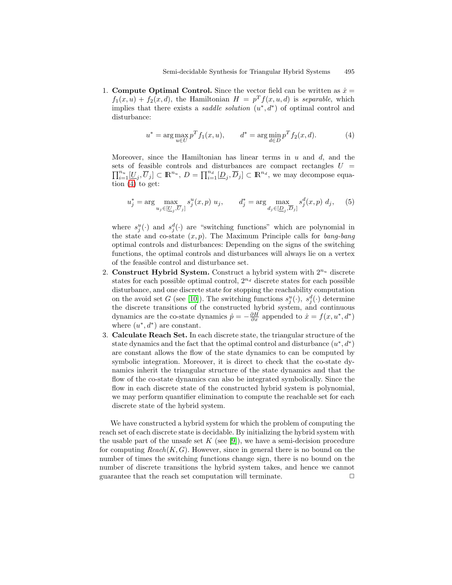1. **Compute Optimal Control.** Since the vector field can be written as  $\dot{x} =$  $f_1(x, u) + f_2(x, d)$ , the Hamiltonian  $H = p^T f(x, u, d)$  is separable, which implies that there exists a *saddle solution*  $(u^*, d^*)$  of optimal control and disturbance:

$$
u^* = \arg\max_{u \in U} p^T f_1(x, u), \qquad d^* = \arg\min_{d \in D} p^T f_2(x, d). \tag{4}
$$

Moreover, since the Hamiltonian has linear terms in  $u$  and  $d$ , and the sets of feasible controls and disturbances are compact rectangles  $U = \prod^{n_u} [U \overline{U} \cap \overline{D} \cap \overline{D} \cap \overline{D} \cap \overline{D} \cap \overline{D} \cap \overline{D} \cap \overline{D}]$  (we may decompose couples  $\prod_{i=1}^{n_u} [\underline{U}_j, \overline{U}_j] \subset \mathbb{R}^{n_u}, D = \prod_{i=1}^{n_d} [\underline{D}_j, \overline{D}_j] \subset \mathbb{R}^{n_d}$ , we may decompose equation  $(4)$  to get:

$$
u_j^* = \arg \max_{u_j \in [\underline{U}_j, \overline{U}_j]} s_j^u(x, p) \ u_j, \qquad d_j^* = \arg \max_{d_j \in [\underline{D}_j, \overline{D}_j]} s_j^d(x, p) \ d_j, \tag{5}
$$

where  $s_j^u(\cdot)$  and  $s_j^d(\cdot)$  are "switching functions" which are polynomial in the state and co-state  $(x, p)$ . The Maximum Principle calls for bang-bang optimal controls and disturbances: Depending on the signs of the switching functions, the optimal controls and disturbances will always lie on a vertex of the feasible control and disturbance set.

- 2. **Construct Hybrid System.** Construct a hybrid system with  $2^{n_u}$  discrete states for each possible optimal control,  $2^{n_d}$  discrete states for each possible disturbance, and one discrete state for stopping the reachability computation on the avoid set G (see [\[10\]](#page-13-0)). The switching functions  $s_j^u(\cdot)$ ,  $s_j^d(\cdot)$  determine the discrete transitions of the constructed hybrid system, and continuous dynamics are the co-state dynamics  $\dot{p} = -\frac{\partial H}{\partial x}$  appended to  $\dot{x} = f(x, u^*, d^*)$ where  $(u^*, d^*)$  are constant.
- 3. **Calculate Reach Set.** In each discrete state, the triangular structure of the state dynamics and the fact that the optimal control and disturbance  $(u^*, d^*)$ are constant allows the flow of the state dynamics to can be computed by symbolic integration. Moreover, it is direct to check that the co-state dynamics inherit the triangular structure of the state dynamics and that the flow of the co-state dynamics can also be integrated symbolically. Since the flow in each discrete state of the constructed hybrid system is polynomial, we may perform quantifier elimination to compute the reachable set for each discrete state of the hybrid system.

We have constructed a hybrid system for which the problem of computing the reach set of each discrete state is decidable. By initializing the hybrid system with the usable part of the unsafe set K (see [\[9\]](#page-13-0)), we have a semi-decision procedure for computing  $Reach(K, G)$ . However, since in general there is no bound on the number of times the switching functions change sign, there is no bound on the number of discrete transitions the hybrid system takes, and hence we cannot guarantee that the reach set computation will terminate.  $\Box$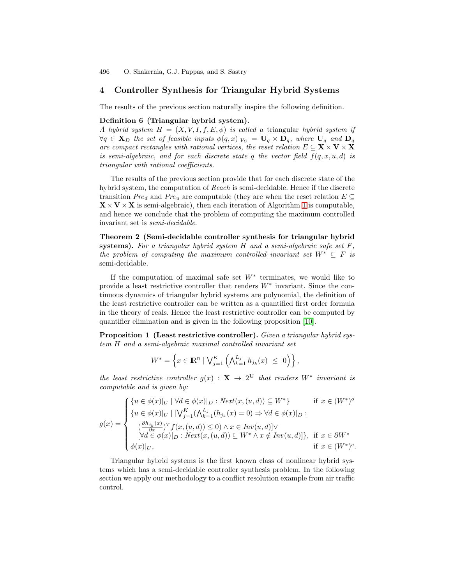# <span id="page-9-0"></span>**4 Controller Synthesis for Triangular Hybrid Systems**

The results of the previous section naturally inspire the following definition.

#### **Definition 6 (Triangular hybrid system).**

A hybrid system  $H = (X, V, I, f, E, \phi)$  is called a triangular hybrid system if  $\forall q \in \mathbf{X}_D$  the set of feasible inputs  $\phi(q, x)|_{V_C} = \mathbf{U}_q \times \mathbf{D}_q$ , where  $\mathbf{U}_q$  and  $\mathbf{D}_q$ are compact rectangles with rational vertices, the reset relation  $E \subseteq \mathbf{X} \times \mathbf{V} \times \mathbf{X}$ is semi-algebraic, and for each discrete state q the vector field  $f(q, x, u, d)$  is triangular with rational coefficients.

The results of the previous section provide that for each discrete state of the hybrid system, the computation of Reach is semi-decidable. Hence if the discrete transition  $Pre_d$  and  $Pre_u$  are computable (they are when the reset relation  $E \subseteq$  $\mathbf{X} \times \mathbf{V} \times \mathbf{X}$  is semi-algebraic), then each iteration of Algorithm [1](#page-2-0) is computable, and hence we conclude that the problem of computing the maximum controlled invariant set is semi-decidable.

**Theorem 2 (Semi-decidable controller synthesis for triangular hybrid systems).** For a triangular hybrid system  $H$  and a semi-algebraic safe set  $F$ . the problem of computing the maximum controlled invariant set  $W^* \subseteq F$  is semi-decidable.

If the computation of maximal safe set  $W^*$  terminates, we would like to provide a least restrictive controller that renders  $W^*$  invariant. Since the continuous dynamics of triangular hybrid systems are polynomial, the definition of the least restrictive controller can be written as a quantified first order formula in the theory of reals. Hence the least restrictive controller can be computed by quantifier elimination and is given in the following proposition [\[10\]](#page-13-0).

**Proposition 1 (Least restrictive controller).** Given a triangular hybrid system H and a semi-algebraic maximal controlled invariant set

$$
W^* = \left\{ x \in \mathbb{R}^n \mid \bigvee_{j=1}^K \left( \bigwedge_{k=1}^{L_j} h_{j_k}(x) \leq 0 \right) \right\},\
$$

the least restrictive controller  $q(x) : \mathbf{X} \to 2^{\mathbf{U}}$  that renders  $W^*$  invariant is computable and is given by:

$$
g(x) = \begin{cases} \{u \in \phi(x)|_U \mid \forall d \in \phi(x)|_D : Next(x, (u, d)) \subseteq W^* \} & \text{if } x \in (W^*)^o \\ \{u \in \phi(x)|_U \mid [\bigvee_{j=1}^K (\bigwedge_{k=1}^{L_j} (h_{j_k}(x) = 0) \Rightarrow \forall d \in \phi(x)|_D : \\ (\frac{\partial h_{j_k}(x)}{\partial x})^T f(x, (u, d)) \le 0) \land x \in Inv(u, d)] \lor \\ [\forall d \in \phi(x)|_D : Next(x, (u, d)) \subseteq W^* \land x \notin Inv(u, d)] \}, & \text{if } x \in \partial W^* \\ \phi(x)|_U, & \text{if } x \in (W^*)^c. \end{cases}
$$

Triangular hybrid systems is the first known class of nonlinear hybrid systems which has a semi-decidable controller synthesis problem. In the following section we apply our methodology to a conflict resolution example from air traffic control.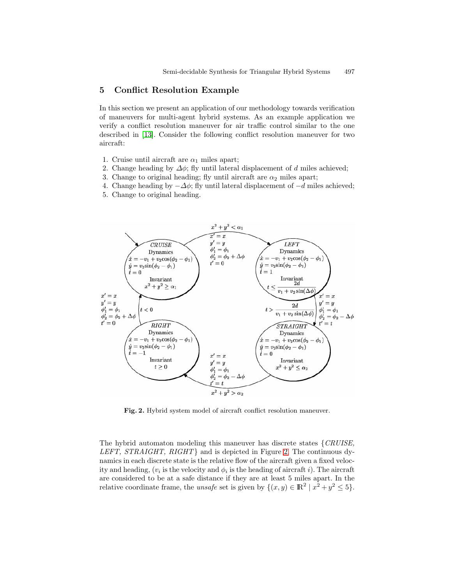### <span id="page-10-0"></span>**5 Conflict Resolution Example**

In this section we present an application of our methodology towards verification of maneuvers for multi-agent hybrid systems. As an example application we verify a conflict resolution maneuver for air traffic control similar to the one described in [\[13\]](#page-13-0). Consider the following conflict resolution maneuver for two aircraft:

- 1. Cruise until aircraft are  $\alpha_1$  miles apart;
- 2. Change heading by  $\Delta\phi$ ; fly until lateral displacement of d miles achieved;
- 3. Change to original heading; fly until aircraft are  $\alpha_2$  miles apart;
- 4. Change heading by  $-\Delta\phi$ ; fly until lateral displacement of  $-d$  miles achieved;
- 5. Change to original heading.



**Fig. 2.** Hybrid system model of aircraft conflict resolution maneuver.

The hybrid automaton modeling this maneuver has discrete states  $\{CRUISE,$ LEFT, STRAIGHT, RIGHT} and is depicted in Figure 2. The continuous dynamics in each discrete state is the relative flow of the aircraft given a fixed velocity and heading,  $(v_i$  is the velocity and  $\phi_i$  is the heading of aircraft i). The aircraft are considered to be at a safe distance if they are at least 5 miles apart. In the relative coordinate frame, the unsafe set is given by  $\{(x, y) \in \mathbb{R}^2 \mid x^2 + y^2 \le 5\}.$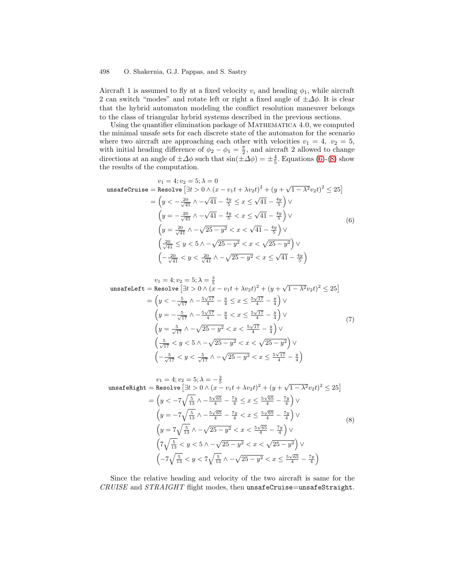Aircraft 1 is assumed to fly at a fixed velocity  $v_i$  and heading  $\phi_1$ , while aircraft 2 can switch "modes" and rotate left or right a fixed angle of  $\pm \Delta \phi$ . It is clear that the hybrid automaton modeling the conflict resolution maneuver belongs to the class of triangular hybrid systems described in the previous sections.

Using the quantifier elimination package of MATHEMATICA 4.0, we computed the minimal unsafe sets for each discrete state of the automaton for the scenario where two aircraft are approaching each other with velocities  $v_1 = 4$ ,  $v_2 = 5$ , with initial heading difference of  $\phi_2 - \phi_1 = \frac{\pi}{2}$ , and aircraft 2 allowed to change directions at an angle of  $\pm \Delta \phi$  such that  $\sin(\pm \Delta \phi) = \pm \frac{4}{5}$ . Equations (6)-(8) show the results of the computation.

$$
v_1 = 4; v_2 = 5; \lambda = 0
$$
  
unsafeCruise = Resolve  $\left[ \exists t > 0 \land (x - v_1 t + \lambda v_2 t)^2 + (y + \sqrt{1 - \lambda^2} v_2 t)^2 \le 25 \right]$   

$$
= \left( y < -\frac{20}{\sqrt{41}} \land -\sqrt{41} - \frac{4y}{5} \le x \le \sqrt{41} - \frac{4y}{5} \right) \lor
$$
  

$$
\left( y = -\frac{20}{\sqrt{41}} \land -\sqrt{41} - \frac{4y}{5} < x \le \sqrt{41} - \frac{4y}{5} \right) \lor
$$
  

$$
\left( y = \frac{20}{\sqrt{41}} \land -\sqrt{25 - y^2} < x < \sqrt{41} - \frac{4y}{5} \right) \lor
$$
  

$$
\left( \frac{20}{\sqrt{41}} \le y < 5 \land -\sqrt{25 - y^2} < x < \sqrt{25 - y^2} \right) \lor
$$
  

$$
\left( -\frac{20}{\sqrt{41}} < y < \frac{20}{\sqrt{41}} \land -\sqrt{25 - y^2} < x \le \sqrt{41} - \frac{4y}{5} \right)
$$

$$
v_1 = 4; v_2 = 5; \lambda = \frac{3}{5}
$$
  
\n
$$
\text{unsafleft} = \text{Resolve} \left[ \exists t > 0 \land (x - v_1 t + \lambda v_2 t)^2 + (y + \sqrt{1 - \lambda^2} v_2 t)^2 \le 25 \right]
$$
  
\n
$$
= \left( y < -\frac{5}{\sqrt{17}} \land -\frac{5\sqrt{17}}{4} - \frac{y}{4} \le x \le \frac{5\sqrt{17}}{4} - \frac{y}{4} \right) \lor
$$
  
\n
$$
\left( y = -\frac{5}{\sqrt{17}} \land -\frac{5\sqrt{17}}{4} - \frac{y}{4} < x \le \frac{5\sqrt{17}}{4} - \frac{y}{4} \right) \lor
$$
  
\n
$$
\left( y = \frac{5}{\sqrt{17}} \land -\sqrt{25 - y^2} < x < \frac{5\sqrt{17}}{4} - \frac{y}{4} \right) \lor
$$
  
\n
$$
\left( \frac{5}{\sqrt{17}} < y < 5 \land -\sqrt{25 - y^2} < x < \sqrt{25 - y^2} \right) \lor
$$
  
\n
$$
\left( -\frac{5}{\sqrt{17}} < y < \frac{5}{\sqrt{17}} \land -\sqrt{25 - y^2} < x \le \frac{5\sqrt{17}}{4} - \frac{y}{4} \right)
$$
  
\n(7)

$$
v_1 = 4; v_2 = 5; \lambda = -\frac{3}{5}
$$
  
\n
$$
\text{unsafelight} = \text{Resolve} \left[ \exists t > 0 \land (x - v_1 t + \lambda v_2 t)^2 + (y + \sqrt{1 - \lambda^2} v_2 t)^2 \le 25 \right]
$$
  
\n
$$
= \left( y < -7 \sqrt{\frac{5}{13}} \land -\frac{5 \sqrt{65}}{4} - \frac{7y}{4} \le x \le \frac{5 \sqrt{65}}{4} - \frac{7y}{4} \right) \lor
$$
  
\n
$$
\left( y = -7 \sqrt{\frac{5}{13}} \land -\frac{5 \sqrt{65}}{4} - \frac{7y}{4} < x \le \frac{5 \sqrt{65}}{4} - \frac{7y}{4} \right) \lor
$$
  
\n
$$
\left( y = 7 \sqrt{\frac{5}{13}} \land -\sqrt{25 - y^2} < x < \frac{5 \sqrt{65}}{4} - \frac{7y}{4} \right) \lor
$$
  
\n
$$
\left( 7 \sqrt{\frac{5}{13}} < y < 5 \land -\sqrt{25 - y^2} < x < \sqrt{25 - y^2} \right) \lor
$$
  
\n
$$
\left( -7 \sqrt{\frac{5}{13}} < y < 7 \sqrt{\frac{5}{13}} \land -\sqrt{25 - y^2} < x \le \frac{5 \sqrt{65}}{4} - \frac{7y}{4} \right)
$$
  
\n(8)

Since the relative heading and velocity of the two aircraft is same for the CRUISE and STRAIGHT flight modes, then unsafeCruise=unsafeStraight.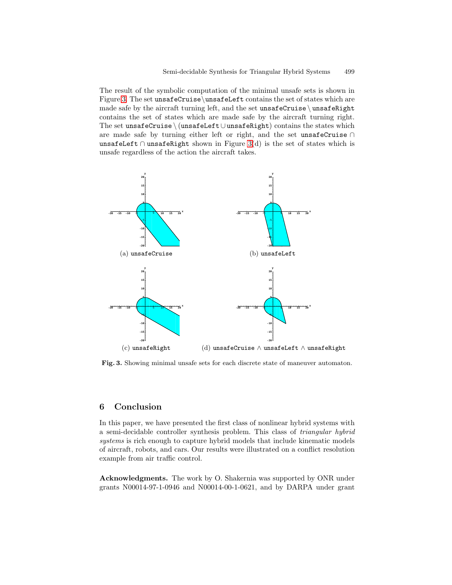The result of the symbolic computation of the minimal unsafe sets is shown in Figure 3. The set unsafeCruise\unsafeLeft contains the set of states which are made safe by the aircraft turning left, and the set unsafeCruise  $\langle$  unsafeRight contains the set of states which are made safe by the aircraft turning right. The set unsafeCruise \ (unsafeLeft∪unsafeRight) contains the states which are made safe by turning either left or right, and the set unsafeCruise ∩ unsafeLeft ∩ unsafeRight shown in Figure 3(d) is the set of states which is unsafe regardless of the action the aircraft takes.



**Fig. 3.** Showing minimal unsafe sets for each discrete state of maneuver automaton.

### **6 Conclusion**

In this paper, we have presented the first class of nonlinear hybrid systems with a semi-decidable controller synthesis problem. This class of triangular hybrid systems is rich enough to capture hybrid models that include kinematic models of aircraft, robots, and cars. Our results were illustrated on a conflict resolution example from air traffic control.

**Acknowledgments.** The work by O. Shakernia was supported by ONR under grants N00014-97-1-0946 and N00014-00-1-0621, and by DARPA under grant